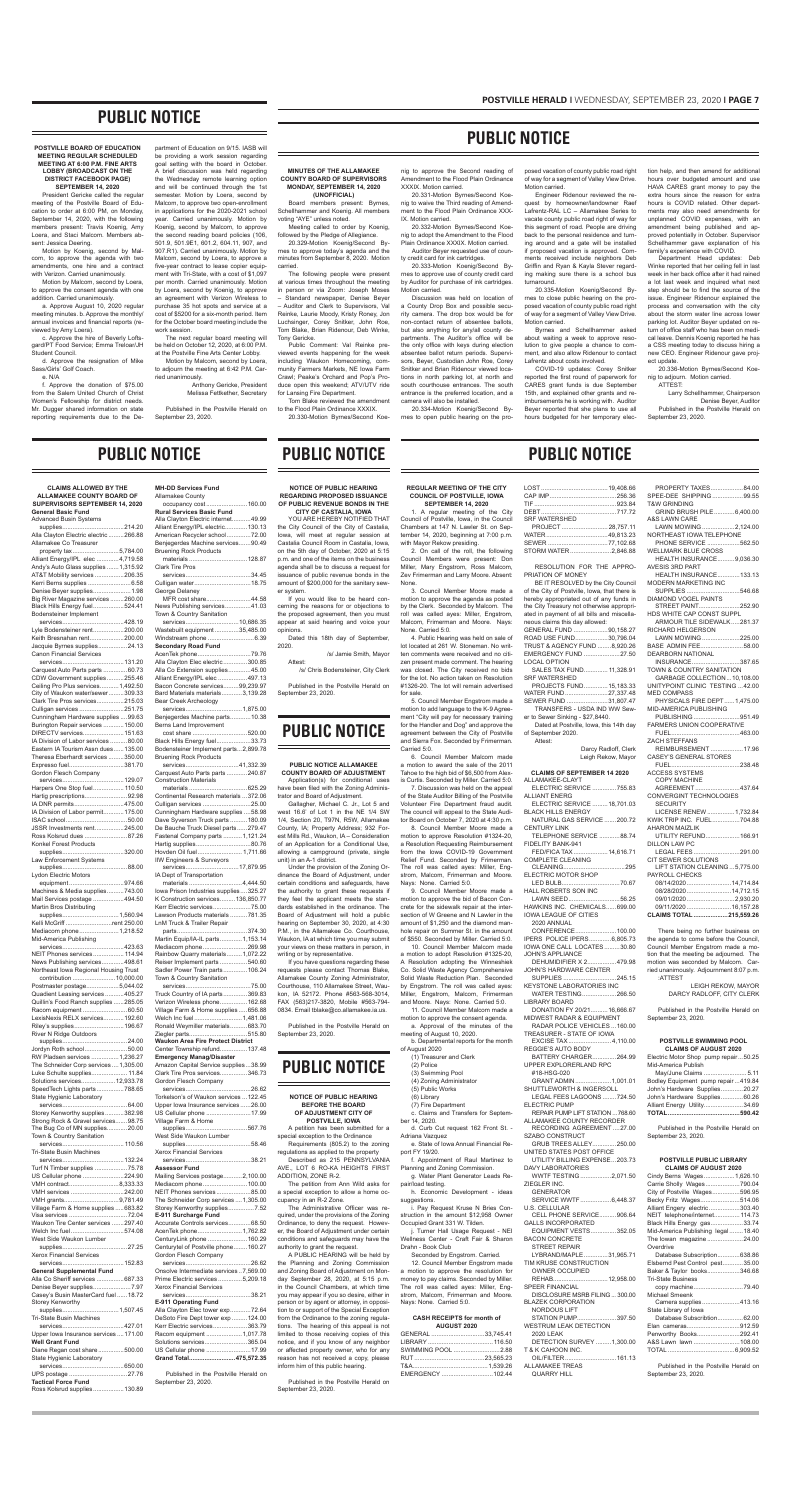**CLAIMS ALLOWED BY THE** 

| <b>ALLAMAKEE COUNTY BOARD OF</b>                                         |        |
|--------------------------------------------------------------------------|--------|
| SUPERVISORS SEPTEMBER 14, 2020<br><b>General Basic Fund</b>              |        |
| <b>Advanced Busin Systems</b>                                            |        |
| Alla Clayton Electric electric 266.88                                    |        |
| Allamakee Co Treasurer<br>property tax5,784.00                           |        |
| Alliant Energy/IPL elec 4,719.58                                         |        |
| Andy's Auto Glass supplies  1,315.92<br>AT&T Mobility services 206.35    |        |
| Kerri Berns supplies  6.58                                               |        |
| Denise Beyer supplies 1.98<br>Big River Magazine services 260.00         |        |
| Black Hills Energy fuel524.41                                            |        |
| <b>Bodensteiner Implement</b>                                            |        |
| Lyle Bodensteiner rent200.00                                             |        |
| Keith Bresnahan rent200.00<br>Jacquie Byrnes supplies24.13               |        |
| <b>Canon Financial Services</b>                                          |        |
| Carquest Auto Parts parts  60.73                                         |        |
| CDW Government supplies255.46                                            |        |
| Ceiling Pro Plus services 1,492.50<br>City of Waukon water/sewer309.33   |        |
| Clark Tire Pros services215.03                                           |        |
| Culligan services 251.75<br>Cunningham Hardware supplies  99.63          |        |
| Burington Repair services  150.00                                        |        |
| DIRECTV services 151.63<br>IA Division of Labor services 80.00           |        |
| Eastern IA Tourism Assn dues 135.00                                      |        |
| Theresa Eberhardt services 350.00<br>Expresso fuel381.70                 |        |
| Gordon Flesch Company                                                    |        |
| Harpers One Stop fuel 110.50                                             |        |
| Hartig prescriptions92.98                                                |        |
| IA DNR permits475.00<br>IA Division of Labor permit 175.00               |        |
|                                                                          |        |
| JSSR Investments rent245.00<br>Ross Kolsrud dues 87.26                   |        |
| Konkel Forest Products                                                   |        |
| supplies320.00<br>Law Enforcement Systems                                |        |
|                                                                          |        |
| <b>Lydon Electric Motors</b><br>equipment                                | 974.66 |
| Machines & Media supplies743.00                                          |        |
| Mail Services postage 494.50<br>Martin Bros Distributing                 |        |
| supplies1,560.94                                                         |        |
| Kelli McGriff rent 250.00<br>Mediacom phone 1,218.52                     |        |
| Mid-America Publishing                                                   |        |
| NEIT Phones services 114.94                                              |        |
| News Publishing services498.61                                           |        |
| Northeast Iowa Regional Housing Trust                                    |        |
| Postmaster postage5,044.02                                               |        |
| Quadient Leasing services 405.27<br>Quillin's Food Ranch supplies 285.05 |        |
| Racom equipment 60.50                                                    |        |
| LexisNexis RELX services 192.60<br>Riley's supplies 196.67               |        |
| River N Ridge Outdoors                                                   |        |
| Jordyn Roth school50.00                                                  |        |
| RW Pladsen services 1,236.27                                             |        |
| The Schneider Corp services  1,305.00<br>Luke Schulte supplies 11.84     |        |
| Solutions services 12,933.78                                             |        |
| SpeedTech Lights parts788.65<br>State Hygienic Laboratory                |        |
|                                                                          |        |
| Storey Kenworthy supplies382.98<br>Strong Rock & Gravel services98.75    |        |
| The Bug Co of MN supplies20.00                                           |        |
| Town & Country Sanitation                                                |        |
| <b>Tri-State Busin Machines</b>                                          |        |
| Turf N Timber supplies 75.78                                             |        |
| US Cellular phone 224.90                                                 |        |
| VMH contract8,333.33<br>VMH services 242.00                              |        |
| VMH grants9,781.49                                                       |        |
| Village Farm & Home supplies  683.82<br>Visa services 72.04              |        |
| Waukon Tire Center services 297.40                                       |        |
| Welch Inc fuel574.08<br>West Side Waukon Lumber                          |        |
|                                                                          |        |
| <b>Xerox Financial Services</b>                                          |        |
| <b>General Supplemental Fund</b>                                         | 68733  |
| Alla Co Sheriff services<br>Denise Beyer supplies7.97                    |        |
| Casey's Busin MasterCard fuel18.72                                       |        |
| Storey Kenworthy<br>supplies1,507.45                                     |        |
| <b>Tri-State Busin Machines</b>                                          |        |
| Upper lowa Insurance services  171.00                                    |        |
| <b>Well Grant Fund</b>                                                   |        |
| Diane Regan cost share500.00<br>State Hygienic Laboratory                |        |
|                                                                          |        |
| <b>Tactical Force Fund</b>                                               |        |
| Ross Kolsrud supplies 130.89                                             |        |

services...............................10,686.35 Wastebuilt equipment ..............35,485.00<br>Windstream phone ..........................6.39

Windstream phone ... **Secondary Road Fund**

AcenTek phone...............................79.76 Alla Clayton Elec electric..............300.85<br>Alla Co Extension supplies.............45.00 Alla Co Extension supplies.............45.00<br>Alliant Energy/IPL elec.................497.13

Alliant Energy/IPL elec ...

Bacon Concrete services.........99,239.97<br>Bard Materials materials............3.139.28

Bard Materials materials... Bear Creek Archeology

Benjegerdes Machine parts..... Berns Land Improvement

Black Hills Energy fuel...........

**MH-DD Services Fund** Allamakee County

occupancy cost ........................160.00

Alla Clayton Electric internet...........49.99<br>Alliant Energy/IPL electric.............130.13 Alliant Energy/IPL electric.....

**Rural Services Basic Fund**

American Recycler school..............72.00 Benjegerdes Machine services.......90.49

Bruening Rock Products

materials ..................................128.87

Clark Tire Pros

services......................................34.45 Culligan water.................................18.75

George Delaney

MFR cost share..........................44.58 News Publishing services...............41.03

Town & Country Sanitation

services.................................1,875.00

cost share ................................520.00

Bodensteiner Implement parts...2,899.78

Bruening Rock Products

services...............................41,332.39 Carquest Auto Parts parts ............240.87

| Continental Research materials  372.06   |
|------------------------------------------|
| Culligan services 25.00                  |
| Cunningham Hardware supplies  58.98      |
| Dave Syverson Truck parts  180.09        |
| De Bauche Truck Diesel parts 279.47      |
| Fastenal Company parts  1,121.24         |
| Hartig supplies80.76                     |
| Hovden Oil fuel 1,711.66                 |
| <b>IIW Engineers &amp; Surveyors</b>     |
| services17,879.95                        |
| IA Dept of Transportation                |
|                                          |
| materials 4,444.50                       |
| lowa Prison Industries supplies325.27    |
| K Construction services 136,850.77       |
| Kerr Electric services75.00              |
| Lawson Products materials 781.35         |
| <b>LnM Truck &amp; Trailer Repair</b>    |
|                                          |
| Martin Equip/IA-IL parts 1,153.14        |
| Mediacom phone269.98                     |
| Rainbow Quarry materials 1,072.22        |
| Reiser Implement parts 540.60            |
|                                          |
| Sadler Power Train parts 106.24          |
| Town & Country Sanitation                |
|                                          |
| Truck Country of IA parts369.83          |
| Verizon Wireless phone 162.68            |
| Village Farm & Home supplies  656.88     |
| Welch Inc fuel1,481.06                   |
| Ronald Weymiller materials 683.70        |
| Ziegler parts515.80                      |
| <b>Waukon Area Fire Protect District</b> |
| Center Township refund 137.48            |
| <b>Emergency Manag/Disaster</b>          |
|                                          |
| Amazon Capital Service supplies38.99     |
| Clark Tire Pros services346.73           |
| Gordon Flesch Company                    |
|                                          |
| Torkelson's of Waukon services  122.45   |
| Upper lowa Insurance services 26.00      |
| US Cellular phone  17.99                 |
|                                          |
|                                          |
| Village Farm & Home                      |
|                                          |
| West Side Waukon Lumber                  |
|                                          |
| <b>Xerox Financial Services</b>          |
|                                          |
| <b>Assessor Fund</b>                     |
| Mailing Services postage2,100.00         |
| Mediacom phone100.00                     |
| NEIT Phones services85.00                |
| The Schneider Corp services  1,305.00    |
| Storey Kenworthy supplies7.52            |
| E-911 Surcharge Fund                     |
|                                          |
| Accurate Controls services68.50          |
| AcenTek phone 1,762.82                   |
| CenturyLink phone  160.29                |
| Centurytel of Postville phone160.27      |
| Gordon Flesch Company                    |
|                                          |
| Onsolve Intermediate services7,569.00    |
| Prime Electric services 5,209.18         |
| <b>Xerox Financial Services</b>          |
|                                          |
| E-911 Operating Fund                     |
|                                          |
| Alla Clayton Elec tower exp72.64         |
| DeSoto Fire Dept tower exp  124.00       |
| Kerr Electric services363.79             |
| Racom equipment  1,017.78                |
| Solutions services365.04                 |
| US Cellular phone 17.99                  |
| Grand Total475,572.35                    |

| <u>. 1910an - 1910an 1911a 1924 - 1925 - 1936 - 1937 - 1938 - 1938 - 1938 - 1938 - 1938 - 1938 - 1938 - 1938 - 1</u> |
|----------------------------------------------------------------------------------------------------------------------|
| NEIT Phones services85.0                                                                                             |
| The Schneider Corp services  1,305.0                                                                                 |
| Storey Kenworthy supplies7.5                                                                                         |
| E-911 Surcharge Fund                                                                                                 |
| Accurate Controls services68.5                                                                                       |
| AcenTek phone1,762.8                                                                                                 |
| CenturyLink phone  160.29                                                                                            |
| Centurytel of Postville phone160.2                                                                                   |
| Gordon Flesch Company                                                                                                |
|                                                                                                                      |
| Onsolve Intermediate services  7,569.0                                                                               |
| Prime Electric services 5,209.1                                                                                      |
| Yorov Einanoial Convices                                                                                             |

| <b>E-911 Operating Fund</b>      |  |
|----------------------------------|--|
| Alla Clayton Elec tower exp72.6  |  |
| DeSoto Fire Dept tower exp 124.0 |  |
| Kerr Electric services363.7      |  |
| Racom equipment  1,017.7         |  |
| Solutions services365.0          |  |
| US Cellular phone 17.9           |  |
|                                  |  |

Published in the Postville Herald on September 23, 2020.

**NOTICE OF PUBLIC HEARING REGARDING PROPOSED ISSUANCE OF PUBLIC REVENUE BONDS IN THE** 

# **CITY OF CASTALIA, IOWA**

YOU ARE HEREBY NOTIFIED THAT the City Council of the City of Castalia, Iowa, will meet at regular session at Castalia Council Room in Castalia, Iowa, on the 5th day of October, 2020 at 5:15 p.m. and one of the items on the business agenda shall be to discuss a request for issuance of public revenue bonds in the amount of \$200,000 for the sanitary sewer system.

If you would like to be heard concerning the reasons for or objections to the proposed agreement, then you must appear at said hearing and voice your

opinions.

PROJECTS FUND.............. 15,183.33<br>ATER FUND..........................27.337.48 WATER FUND.........................27,337.48 SEWER FUND ... TRANSFERS - USDA IND WW Sew-

Dated this 18th day of September,

2020.

/s/ Jamie Smith, Mayor

Attest: /s/ Chris Bodensteiner, City Clerk

Published in the Postville Herald on September 23, 2020.

# **PUBLIC NOTICE**

## **PUBLIC NOTICE ALLAMAKEE COUNTY BOARD OF ADJUSTMENT**

Application(s) for conditional uses ve been filed with the Zoning Administrator and Board of Adjustment.

Gallagher, Michael C. Jr., Lot 5 and west 16.6' of Lot 1 in the NE 1/4 SW 1/4, Section 20, T97N, R5W, Allamakee County, IA; Property Address; 932 Forest Mills Rd., Waukon, IA – Consideration of an Application for a Conditional Use, allowing a campground (private, single unit) in an A-1 district.

Under the provision of the Zoning Ordinance the Board of Adjustment, under certain conditions and safeguards, have the authority to grant these requests if they feel the applicant meets the standards established in the ordinance. The Board of Adjustment will hold a public hearing on September 30, 2020, at 4:30 P.M., in the Allamakee Co. Courthouse, Waukon, IA at which time you may submit your views on these matters in person, in writing or by representative.

If you have questions regarding these requests please contact Thomas Blake, Allamakee County Zoning Administrator, Courthouse, 110 Allamakee Street, Waukon, IA 52172. Phone #563-568-3014, FAX (563)217-3820, Mobile #563-794- 0834. Email tblake@co.allamakee.ia.us.

Published in the Postville Herald on September 23, 2020.

# **PUBLIC NOTICE**

**NOTICE OF PUBLIC HEARING BEFORE THE BOARD OF ADJUSTMENT CITY OF POSTVILLE, IOWA** A petition has been submitted for a

special exception to the Ordinance Requirements (805.2) to the zoning regulations as applied to the property

Described as 215 PENNSYLVANIA AVE., LOT 6 RO-KA HEIGHTS FIRST ADDITION, ZONE R-2.

The petition from Ann Wild asks for a special exception to allow a home occupancy in an R-2 Zone.

The Administrative Officer was required, under the provisions of the Zoning Ordinance, to deny the request. However, the Board of Adjustment under certain conditions and safeguards may have the authority to grant the request.

A PUBLIC HEARING will be held by the Planning and Zoning Commission and Zoning Board of Adjustment on Monday September 28, 2020, at 5:15 p.m. in the Council Chambers, at which time you may appear if you so desire, either in person or by agent or attorney, in opposition to or support of the Special Exception from the Ordinance to the zoning regulations. The hearing of this appeal is not limited to those receiving copies of this notice, and if you know of any neighbor or affected property owner, who for any reason has not received a copy, please inform him of this public hearing.

Published in the Postville Herald on September 23, 2020.

# **PUBLIC NOTICE**

## **POSTVILLE BOARD OF EDUCATION MEETING REGULAR SCHEDULED MEETING AT 6:00 P.M. FINE ARTS LOBBY (BROADCAST ON THE DISTRICT FACEBOOK PAGE) SEPTEMBER 14, 2020**

President Gericke called the regular meeting of the Postville Board of Education to order at 6:00 PM, on Monday, September 14, 2020, with the following members present: Travis Koenig, Amy Loera, and Staci Malcom. Members absent: Jessica Deering.

Motion by Koenig, second by Malcom, to approve the agenda with two amendments, one hire and a contract with Verizon. Carried unanimously.

Motion by Malcom, second by Loera, to approve the consent agenda with one addition. Carried unanimously.

a. Approve August 10, 2020 regular meeting minutes. b. Approve the monthly/ annual invoices and financial reports (reviewed by Amy Loera).

c. Approve the hire of Beverly Loftsgard/PT Food Service; Emma Treloar/JH Student Council.

d. Approve the resignation of Mike Sass/Girls' Golf Coach.

e. N/A f. Approve the donation of \$75.00 from the Salem United Church of Christ Women's Fellowship for district needs. Mr. Dugger shared information on state reporting requirements due to the De-

partment of Education on 9/15. IASB will be providing a work session regarding goal setting with the board in October. A brief discussion was held regarding the Wednesday remote learning option and will be continued through the 1st semester. Motion by Loera, second by Malcom, to approve two open-enrollment in applications for the 2020-2021 school year. Carried unanimously. Motion by Koenig, second by Malcom, to approve the second reading board policies (106, 501.9, 501.9E1, 601.2, 604.11, 907, and 907.R1). Carried unanimously. Motion by Malcom, second by Loera, to approve a five-year contract to lease copier equipment with Tri-State, with a cost of \$1,097 per month. Carried unanimously. Motion by Loera, second by Koenig, to approve an agreement with Verizon Wireless to purchase 35 hot spots and service at a cost of \$5200 for a six-month period. Item for the October board meeting include the work session.

The next regular board meeting will be held on October 12, 2020, at 6:00 P.M. at the Postville Fine Arts Center Lobby.

Motion by Malcom, second by Loera, to adjourn the meeting at 6:42 P.M. Car-

ried unanimously. Anthony Gericke, President Melissa Fettkether, Secretary

Published in the Postville Herald on September 23, 2020.

# **PUBLIC NOTICE**

## **REGULAR MEETING OF THE CITY COUNCIL OF POSTVILLE, IOWA SEPTEMBER 14, 2020**

1. A regular meeting of the City Council of Postville, Iowa, in the Council Chambers at 147 N. Lawler St. on September 14, 2020, beginning at 7:00 p.m. with Mayor Rekow presiding.

2. On call of the roll, the following Council Members were present: Don Miller, Mary Engstrom, Ross Malcom, Zev Frimerman and Larry Moore. Absent: None.

3. Council Member Moore made a motion to approve the agenda as posted by the Clerk. Seconded by Malcom. The roll was called ayes: Miller, Engstrom, Malcom, Frimerman and Moore. Nays: None. Carried 5:0.

4. Public Hearing was held on sale of lot located at 261 W. Stoneman. No written comments were received and no citizen present made comment. The hearing was closed. The City received no bids for the lot. No action taken on Resolution #1326-20. The lot will remain advertised for sale.

5. Council Member Engstrom made a motion to add language to the K-9 Agreement "City will pay for necessary training for the Handler and Dog" and approve the agreement between the City of Postville and Sierra Fox. Seconded by Frimerman. Carried 5:0.

6. Council Member Malcom made a motion to award the sale of the 2011 Tahoe to the high bid of \$6,500 from Alexis Curtis. Seconded by Miller. Carried 5:0. 7. Discussion was held on the appeal

of the State Auditor Billing of the Postville Volunteer Fire Department fraud audit. The council will appeal to the State Auditor Board on October 7, 2020 at 4:30 p.m.

8. Council Member Moore made a motion to approve Resolution #1324-20, a Resolution Requesting Reimbursement from the Iowa COVID-19 Government Relief Fund. Seconded by Frimerman. The roll was called ayes: Miller, Engstrom, Malcom, Frimerman and Moore. Nays: None. Carried 5:0.

9. Council Member Moore made a motion to approve the bid of Bacon Concrete for the sidewalk repair at the intersection of W Greene and N Lawler in the amount of \$1,250 and the diamond manhole repair on Summer St. in the amount of \$550. Seconded by Miller. Carried 5:0. 10. Council Member Malcom made

a motion to adopt Resolution #1325-20, A Resolution adopting the Winneshiek Co. Solid Waste Agency Comprehensive Solid Waste Reduction Plan. Seconded by Engstrom. The roll was called ayes: Miller, Engstrom, Malcom, Frimerman and Moore. Nays: None. Carried 5:0.

11. Council Member Malcom made a motion to approve the consent agenda. a. Approval of the minutes of the meeting of August 10, 2020. b. Departmental reports for the month of August 2020 (1) Treasurer and Clerk (2) Police (3) Swimming Pool (4) Zoning Administrator (5) Public Works (6) Library (7) Fire Department c. Claims and Transfers for September 14, 2020. d. Curb Cut request 162 Front St. - Adriana Vazquez e. State of Iowa Annual Financial Report FY 19/20. f. Appointment of Raul Martinez to Planning and Zoning Commission. g. Water Plant Generator Leads Repair/load testing. h. Economic Development - ideas suggestions. i. Pay Request Kruse N Bries Construction in the amount \$12,958 Owner Occupied Grant 331 W. Tilden. j. Turner Hall Usage Request - NEI Wellness Center - Craft Fair & Sharon Drahn - Book Club

Seconded by Engstrom. Carried. 12. Council Member Engstrom made a motion to approve the resolution for money to pay claims. Seconded by Miller. The roll was called ayes: Miller, Engstrom, Malcom, Frimerman and Moore. Nays: None. Carried 5:0.

#### **CASH RECEIPTS for month of AUGUST 2020**

| <b>AUGUUILULU</b>  |  |
|--------------------|--|
| GENERAL 33,745.41  |  |
|                    |  |
| SWIMMING POOL 2.88 |  |
|                    |  |
|                    |  |
|                    |  |
|                    |  |

| <b>SRF WATERSHED</b> |  |
|----------------------|--|
| PROJECT 28,757.11    |  |
|                      |  |
|                      |  |
| STORM WATER2,846.88  |  |
|                      |  |

RESOLUTION FOR THE APPRO-PRIATION OF MONEY

BE IT RESOLVED by the City Council of the City of Postville, Iowa, that there is hereby appropriated out of any funds in the City Treasury not otherwise appropriated in payment of all bills and miscellaneous claims this day allowed:<br>GENERAL FUND ...................90.158.27 GENERAL FUND .....................90,158.27<br>ROAD USE FUND ....................30,796.04 ROAD USE FUND... TRUST & AGENCY FUND ........8,920.26<br>EMERGENCY FUND ......................27.50 EMERGENCY FUND ...... LOCAL OPTION SALES TAX FUND.............. 11,328.91 SRF WATERSHED

er to Sewer Sinking - \$27,8440. Dated at Postville, Iowa, this 14th day of September 2020.

Attest: Darcy Radloff, Clerk

Leigh Rekow, Mayor **CLAIMS OF SEPTEMBER 14 2020**

## ALLAMAKEE-CLAYT

| ELECTRIC SERVICE 755.83     |  |
|-----------------------------|--|
| <b>ALLIANT ENERG</b>        |  |
| ELECTRIC SERVICE  18.701.03 |  |
| <b>BLACK HILLS ENERGY</b>   |  |
| NATURAL GAS SERVICE 200.72  |  |
| <b>CENTURY LINK</b>         |  |
| TELEPHONE SERVICE 88.74     |  |
| FIDELITY BANK-941           |  |
| FED/FICA TAX  14,616.71     |  |
| <b>COMPLETE CLEANING</b>    |  |
|                             |  |

ELECTRIC MOTOR SHOP

LED BULB..................................70.67 HALL ROBERTS SON INC LAWN SEED..............................56.25 HAWKINS INC. CHEMICALS......699.00 IOWA LEAGUE OF CITIES

2020 ANNUAL CONFERENCE............................100.00<br>ERS POLICE IPERS..............6,805.73 IPERS POLICE IPERS...... IOWA ONE CALL LOCATES.........30.80 JOHN'S APPLIANCE

DEHUMIDIFIER X 2.................479.98 JOHN'S HARDWARE CENTER SUPPLIES ...............................245.15 KEYSTONE LABORATORIES INC WATER TESTING....................266.50 LIBRARY BOARD DONATION FY 20/21..........16,666.67 MIDWEST RADAR & EQUIPMENT RADAR POLICE VEHICLES ...160.00 TREASURER - STATE OF IOWA<br>EXCISE TAX ...............................4,110.00 EXCISE TAX.... REGGIE'S AUTO BODY BATTERY CHARGER..............264.99 UPPER EXPLORERLAND RPC #18-HSG-020

GRANT ADMIN.....................1,001.01 SHUTTLEWORTH & INGERSOLL LEGAL FEES LAGOONS ........724.50 ELECTRIC PUMP REPAIR PUMP LIFT STATION ...768.60 ALLAMAKEE COUNTY RECORDER RECORDING AGREEMENT ....27.00 SZABO CONSTRUCT GRUB TREES ALLEY..............250.00 UNITED STATES POST OFFICE UTILITY BILLING EXPENSE...203.73 DAVY LABORATORIES

WWTF TESTING ..................2,071.50 ZIEGLER INC. GENERATOR SERVICE WWTF..................6,448.37 U.S. CELLULAR CELL PHONE SERVICE..........906.64 GALLS INCORPORATED EQUIPMENT VESTS...............352.05 BACON CONCRETE STREET REPAIR LYBRAND/MAPLE..............31,965.71 TIM KRUSE CONSTRUCTION OWNER OCCUPIED REHAB................................12,958.00 SPEER FINANCIAL DISCLOSURE MSRB FILING... 300.00

BLAZEK CORPORATION NORDOUS LIFT STATION PUMP.......................397.50 WESTRUM LEAK DETECTION 2020 LEAK DETECTION SURVEY .........1,300.00 T & K CAHOON INC. OIL/FILTER..............................161.13 ALLAMAKEE TREAS QUARRY HILL

| PROPERTY TAXES84.00                                |
|----------------------------------------------------|
| SPEE-DEE SHIPPING99.55                             |
| T&W GRINDING                                       |
| GRIND BRUSH PILE6,400.00                           |
| A&S LAWN CARE                                      |
| LAWN MOWING 2,124.00                               |
| NORTHEAST IOWA TELEPHONE                           |
| PHONE SERVICE 562.50<br><b>WELLMARK BLUE CROSS</b> |
| HEALTH INSURANCE9,036.30                           |
| <b>AVESIS 3RD PART</b>                             |
| HEALTH INSURANCE133.13                             |
| <b>MODERN MARKETING INC</b>                        |
| SUPPLIES 546.68                                    |
| <b>DIAMOND VOGEL PAINTS</b>                        |
| STREET PAINT252.90                                 |
| HDS WHITE CAP CONST SUPPL                          |
| ARMOUR TILE SIDEWALK281.37                         |
| RICHARD HELGERSON                                  |
| LAWN MOWING225.00                                  |
|                                                    |
| <b>DEARBORN NATIONAL</b>                           |
| INSURANCE387.65<br>TOWN & COUNTRY SANITATION       |
| GARBAGE COLLECTION  10,108.00                      |
| UNITYPOINT CLINIC TESTING  42.00                   |
| <b>MED COMPASS</b>                                 |
| PHYSICALS FIRE DEPT1,475.00                        |
| MID-AMERICA PUBLISHING                             |
| PUBLISHING951.49                                   |
| <b>FARMERS UNION COOPERATIVE</b>                   |
|                                                    |
| <b>ZACH STEFFANS</b>                               |
| REIMBURSEMENT  17.96                               |
| <b>CASEY'S GENERAL STORES</b>                      |
|                                                    |
| <b>ACCESS SYSTEMS</b><br><b>COPY MACHINE</b>       |
| AGREEMENT<br>. 437.64                              |
|                                                    |

CONVERGINT TECHNOLOGIES SECURITY LICENSE RENEW ................1,732.84 KWIK TRIP INC. FUEL................704.88

| LICENSE RENEW  1,732.84         |
|---------------------------------|
| KWIK TRIP INC. FUEL704.88       |
| <b>AHARON MAIZLIK</b>           |
| UTILITY REFUND 166.91           |
| DILLON LAW PC                   |
| LEGAL FEES 291.00               |
| CIT SEWER SOLUTIONS             |
| LIFT STATION CLEANING  5,775.00 |
| PAYROLL CHECKS                  |
| 08/14/202014,714.84             |
| 08/28/2020 14,712.15            |
| 09/01/20202,930.20              |
| 09/11/2020  16,157.28           |
| CLAIMS TOTAL 215,559.26         |
|                                 |

There being no further business on the agenda to come before the Council, Council Member Engstrom made a motion that the meeting be adjourned. The motion was seconded by Malcom. Carried unanimously. Adjournment 8:07 p.m. :ATTEST

> LEIGH REKOW, MAYOR DARCY RADLOFF, CITY CLERK

Published in the Postville Herald on September 23, 2020.

## **POSTVILLE SWIMMING POOL CLAIMS OF AUGUST 2020**

| Electric Motor Shop pump repair50.25 |  |
|--------------------------------------|--|
| Mid-America Publish                  |  |
|                                      |  |
| Bodlev Equipment pump repair419.84   |  |
| John's Hardware Supplies20.27        |  |
| John's Hardware Supplies60.26        |  |
| Alliant Energy Utility34.69          |  |
|                                      |  |
|                                      |  |

Published in the Postville Herald on September 23, 2020.

## **POSTVILLE PUBLIC LIBRARY CLAIMS OF AUGUST 2020**

| Cindy Berns Wages 1,626.10                   |  |
|----------------------------------------------|--|
| Carrie Sholly Wages790.04                    |  |
| City of Postville Wages596.95                |  |
| Becky Fritz Wages514.06                      |  |
| Alliant Engery electric303.40                |  |
| NEIT telephone/internet 114.73               |  |
| Black Hills Energy gas33.74                  |  |
| Mid-America Publishing legal 18.40           |  |
| The lowan magazine24.00                      |  |
| Overdrive                                    |  |
| Database Subscription638.86                  |  |
| Elsbernd Pest Control pest35.00              |  |
| Baker & Taylor books346.68                   |  |
| <b>Tri-State Business</b>                    |  |
|                                              |  |
| Michael Smeenk                               |  |
| Camera supplies413.16                        |  |
| State Library of Iowa                        |  |
| Database Subscribtion62.00                   |  |
| Elan cameras912.59                           |  |
| Penworthy Books292.41                        |  |
| A&S Lawn lawn 108.00                         |  |
|                                              |  |
|                                              |  |
| Desktlichkeit in Aber Deutschlied Leucht und |  |

Published in the Postville Herald on September 23, 2020.

## **MINUTES OF THE ALLAMAKEE COUNTY BOARD OF SUPERVISORS MONDAY, SEPTEMBER 14, 2020 (UNOFFICIAL)**

Board members present: Byrnes, Schellhammer and Koenig. All members voting "AYE" unless noted.

Meeting called to order by Koenig, followed by the Pledge of Allegiance. 20.329-Motion Koenig/Second By-

rnes to approve today's agenda and the minutes from September 8, 2020. Motion carried.

The following people were present at various times throughout the meeting in person or via Zoom: Joseph Moses – Standard newspaper, Denise Beyer – Auditor and Clerk to Supervisors, Val Reinke, Laurie Moody, Kristy Roney, Jon Luchsinger, Corey Snitker, John Roe, Tom Blake, Brian Ridenour, Deb Winke, Tony Gericke.

Public Comment: Val Reinke previewed events happening for the week including Waukon Homecoming, community Farmers Markets, NE Iowa Farm Crawl; Peake's Orchard and Pop's Produce open this weekend; ATV/UTV ride for Lansing Fire Department.

Tom Blake reviewed the amendment to the Flood Plain Ordinance XXXIX.

20.330-Motion Byrnes/Second Koe-

nig to approve the Second reading of Amendment to the Flood Plain Ordinance XXXIX. Motion carried.

20.331-Motion Byrnes/Second Koenig to waive the Third reading of Amendment to the Flood Plain Ordinance XXX-IX. Motion carried.

20.332-Motion Byrnes/Second Koenig to adopt the Amendment to the Flood Plain Ordinance XXXIX. Motion carried. Auditor Beyer requested use of coun-

ty credit card for ink cartridges. 20.333-Motion Koenig/Second Byrnes to approve use of county credit card by Auditor for purchase of ink cartridges. Motion carried.

Discussion was held on location of a County Drop Box and possible security camera. The drop box would be for non-contact return of absentee ballots, but also anything for any/all county departments. The Auditor's office will be the only office with keys during election absentee ballot return periods. Supervisors, Beyer, Custodian John Roe, Corey Snitker and Brian Ridenour viewed locations in north parking lot, at north and south courthouse entrances. The south entrance is the preferred location, and a camera will also be installed.

20.334-Motion Koenig/Second Byrnes to open public hearing on the proposed vacation of county public road right of way for a segment of Valley View Drive. Motion carried.

Engineer Ridenour reviewed the request by homeowner/landowner Raef Lafrentz-RAL LC – Allamakee Series to vacate county public road right of way for this segment of road. People are driving back to the personal residence and turning around and a gate will be installed if proposed vacation is approved. Comments received include neighbors Deb Griffin and Ryan & Kayla Stever regarding making sure there is a school bus turnaround.

20.335-Motion Koenig/Second Byrnes to close public hearing on the proposed vacation of county public road right of way for a segment of Valley View Drive. Motion carried.

Byrnes and Schellhammer asked about waiting a week to approve resolution to give people a chance to comment, and also allow Ridenour to contact Lafrentz about costs involved.

COVID-19 updates: Corey Snitker reported the first round of paperwork for CARES grant funds is due September 15th, and explained other grants and reimbursements he is working with. Auditor Beyer reported that she plans to use all hours budgeted for her temporary election help, and then amend for additional hours over budgeted amount and use HAVA CARES grant money to pay the extra hours since the reason for extra hours is COVID related. Other departments may also need amendments for unplanned COVID expenses, with an amendment being published and approved potentially in October. Supervisor Schellhammer gave explanation of his family's experience with COVID.

Department Head updates: Deb Winke reported that her ceiling fell in last week in her back office after it had rained a lot last week and inquired what next step should be to find the source of the issue. Engineer Ridenour explained the process and conversation with the city about the storm water line across lower parking lot. Auditor Beyer updated on return of office staff who has been on medical leave. Dennis Koenig reported he has a CSS meeting today to discuss hiring a new CEO. Engineer Ridenour gave project update.

20.336-Motion Byrnes/Second Koenig to adjourn. Motion carried.

ATTEST:

Larry Schellhammer, Chairperson Denise Beyer, Auditor Published in the Postville Herald on September 23, 2020.

# **PUBLIC NOTICE**

# **PUBLIC NOTICE**